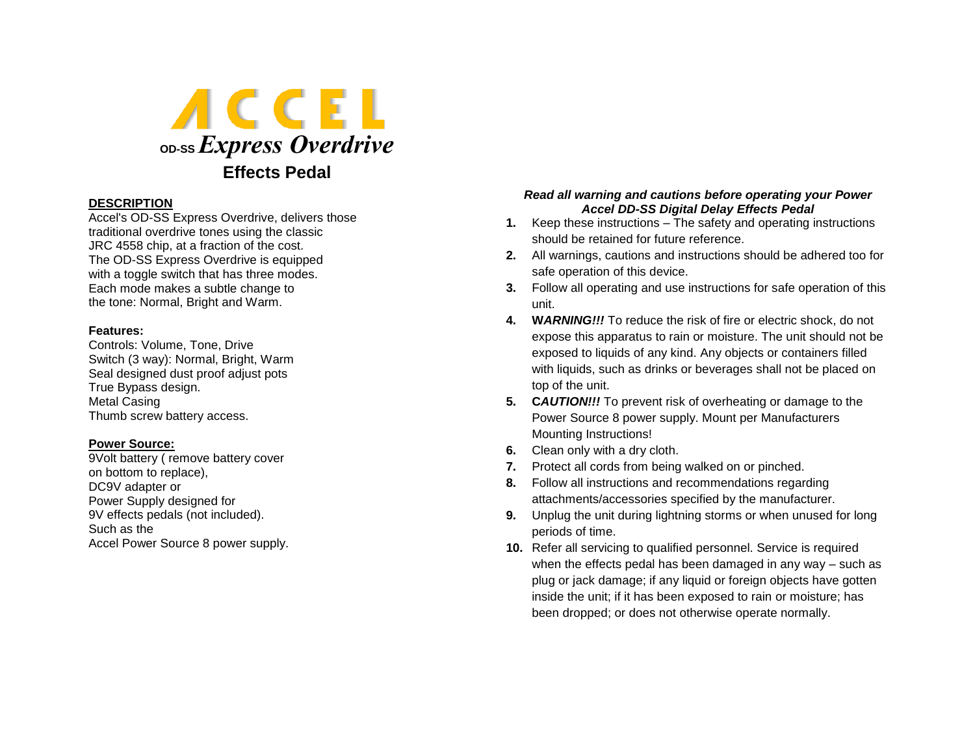

# **DESCRIPTION**

Accel's OD-SS Express Overdrive, delivers those traditional overdrive tones using the classic JRC 4558 chip, at a fraction of the cost. The OD-SS Express Overdrive is equipped with a toggle switch that has three modes. Each mode makes a subtle change to the tone: Normal, Bright and Warm.

### **Features:**

Controls: Volume, Tone, Drive Switch (3 way): Normal, Bright, Warm Seal designed dust proof adjust pots True Bypass design. Metal Casing Thumb screw battery access.

# **Power Source:**

9Volt battery ( remove battery cover on bottom to replace), DC9V adapter or Power Supply designed for 9V effects pedals (not included). Such as the Accel Power Source 8 power supply.

# *Read all warning and cautions before operating your Power Accel DD-SS Digital Delay Effects Pedal*

- **1.** Keep these instructions The safety and operating instructions should be retained for future reference.
- **2.** All warnings, cautions and instructions should be adhered too for safe operation of this device.
- **3.** Follow all operating and use instructions for safe operation of this unit.
- **4. W***ARNING!!!* To reduce the risk of fire or electric shock, do not expose this apparatus to rain or moisture. The unit should not be exposed to liquids of any kind. Any objects or containers filled with liquids, such as drinks or beverages shall not be placed on top of the unit.
- **5. C***AUTION!!!* To prevent risk of overheating or damage to the Power Source 8 power supply. Mount per Manufacturers Mounting Instructions!
- **6.** Clean only with a dry cloth.
- **7.** Protect all cords from being walked on or pinched.
- **8.** Follow all instructions and recommendations regarding attachments/accessories specified by the manufacturer.
- **9.** Unplug the unit during lightning storms or when unused for long periods of time.
- **10.** Refer all servicing to qualified personnel. Service is required when the effects pedal has been damaged in any way – such as plug or jack damage; if any liquid or foreign objects have gotten inside the unit; if it has been exposed to rain or moisture; has been dropped; or does not otherwise operate normally.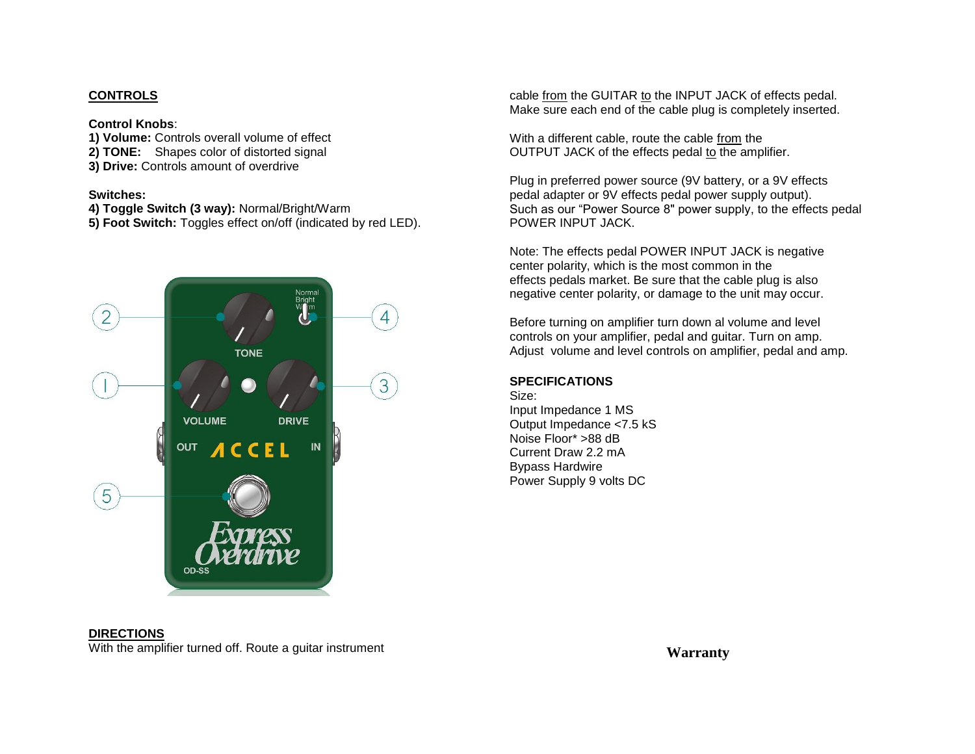# **CONTROLS**

### **Control Knobs**:

**1) Volume:** Controls overall volume of effect **2) TONE:** Shapes color of distorted signal

**3) Drive:** Controls amount of overdrive

# **Switches:**

**4) Toggle Switch (3 way):** Normal/Bright/Warm **5) Foot Switch:** Toggles effect on/off (indicated by red LED).



cable from the GUITAR to the INPUT JACK of effects pedal. Make sure each end of the cable plug is completely inserted.

With a different cable, route the cable from the OUTPUT JACK of the effects pedal to the amplifier.

Plug in preferred power source (9V battery, or a 9V effects pedal adapter or 9V effects pedal power supply output). Such as our "Power Source 8" power supply, to the effects pedal POWER INPUT JACK.

Note: The effects pedal POWER INPUT JACK is negative center polarity, which is the most common in the effects pedals market. Be sure that the cable plug is also negative center polarity, or damage to the unit may occur.

Before turning on amplifier turn down al volume and level controls on your amplifier, pedal and guitar. Turn on amp. Adjust volume and level controls on amplifier, pedal and amp.

# **SPECIFICATIONS**

Size: Input Impedance 1 MS Output Impedance <7.5 kS Noise Floor\* >88 dB Current Draw 2.2 mA Bypass Hardwire Power Supply 9 volts DC

#### **DIRECTIONS**

With the amplifier turned off. Route a guitar instrument

**Warranty**